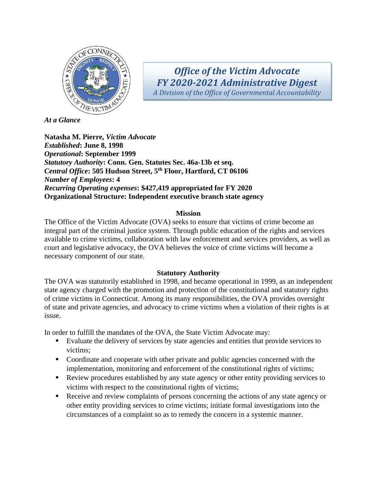

*Office of the Victim Advocate FY 2020-2021 Administrative Digest A Division of the Office of Governmental Accountability*

*At a Glance*

**Natasha M. Pierre,** *Victim Advocate Established***: June 8, 1998** *Operational***: September 1999** *Statutory Authority***: Conn. Gen. Statutes Sec. 46a-13b et seq.** *Central Office***: 505 Hudson Street, 5th Floor, Hartford, CT 06106** *Number of Employees***: 4**  *Recurring Operating expenses***: \$427,419 appropriated for FY 2020 Organizational Structure: Independent executive branch state agency** 

## **Mission**

The Office of the Victim Advocate (OVA) seeks to ensure that victims of crime become an integral part of the criminal justice system. Through public education of the rights and services available to crime victims, collaboration with law enforcement and services providers, as well as court and legislative advocacy, the OVA believes the voice of crime victims will become a necessary component of our state.

## **Statutory Authority**

The OVA was statutorily established in 1998, and became operational in 1999, as an independent state agency charged with the promotion and protection of the constitutional and statutory rights of crime victims in Connecticut. Among its many responsibilities, the OVA provides oversight of state and private agencies, and advocacy to crime victims when a violation of their rights is at issue.

In order to fulfill the mandates of the OVA, the State Victim Advocate may:

- Evaluate the delivery of services by state agencies and entities that provide services to victims;
- Coordinate and cooperate with other private and public agencies concerned with the implementation, monitoring and enforcement of the constitutional rights of victims;
- Review procedures established by any state agency or other entity providing services to victims with respect to the constitutional rights of victims;
- Receive and review complaints of persons concerning the actions of any state agency or other entity providing services to crime victims; initiate formal investigations into the circumstances of a complaint so as to remedy the concern in a systemic manner.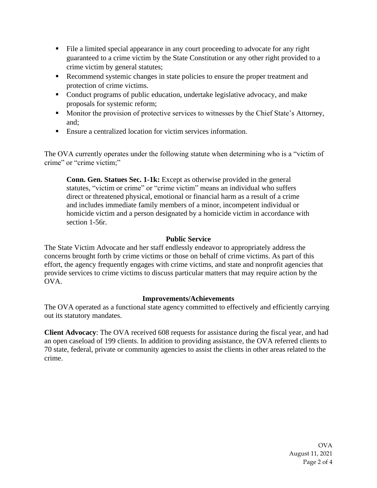- File a limited special appearance in any court proceeding to advocate for any right guaranteed to a crime victim by the State Constitution or any other right provided to a crime victim by general statutes;
- Recommend systemic changes in state policies to ensure the proper treatment and protection of crime victims.
- Conduct programs of public education, undertake legislative advocacy, and make proposals for systemic reform;
- Monitor the provision of protective services to witnesses by the Chief State's Attorney, and;
- Ensure a centralized location for victim services information.

The OVA currently operates under the following statute when determining who is a "victim of crime" or "crime victim;"

**Conn. Gen. Statues Sec. 1-1k:** Except as otherwise provided in the general statutes, "victim or crime" or "crime victim" means an individual who suffers direct or threatened physical, emotional or financial harm as a result of a crime and includes immediate family members of a minor, incompetent individual or homicide victim and a person designated by a homicide victim in accordance with section 1-56r.

# **Public Service**

The State Victim Advocate and her staff endlessly endeavor to appropriately address the concerns brought forth by crime victims or those on behalf of crime victims. As part of this effort, the agency frequently engages with crime victims, and state and nonprofit agencies that provide services to crime victims to discuss particular matters that may require action by the OVA.

# **Improvements/Achievements**

The OVA operated as a functional state agency committed to effectively and efficiently carrying out its statutory mandates.

**Client Advocacy**: The OVA received 608 requests for assistance during the fiscal year, and had an open caseload of 199 clients. In addition to providing assistance, the OVA referred clients to 70 state, federal, private or community agencies to assist the clients in other areas related to the crime.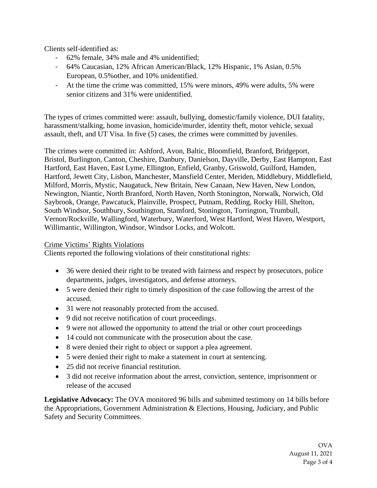Clients self-identified as:

- 62% female, 34% male and 4% unidentified;
- 64% Caucasian, 12% African American/Black, 12% Hispanic, 1% Asian, 0.5% European, 0.5%other, and 10% unidentified.
- At the time the crime was committed, 15% were minors, 49% were adults, 5% were senior citizens and 31% were unidentified.

The types of crimes committed were: assault, bullying, domestic/family violence, DUI fatality, harassment/stalking, home invasion, homicide/murder, identity theft, motor vehicle, sexual assault, theft, and UT Visa. In five (5) cases, the crimes were committed by juveniles.

The crimes were committed in: Ashford, Avon, Baltic, Bloomfield, Branford, Bridgeport, Bristol, Burlington, Canton, Cheshire, Danbury, Danielson, Dayville, Derby, East Hampton, East Hartford, East Haven, East Lyme, Ellington, Enfield, Granby, Griswold, Guilford, Hamden, Hartford, Jewett City, Lisbon, Manchester, Mansfield Center, Meriden, Middlebury, Middlefield, Milford, Morris, Mystic, Naugatuck, New Britain, New Canaan, New Haven, New London, Newington, Niantic, North Branford, North Haven, North Stonington, Norwalk, Norwich, Old Saybrook, Orange, Pawcatuck, Plainville, Prospect, Putnam, Redding, Rocky Hill, Shelton, South Windsor, Southbury, Southington, Stamford, Stonington, Torrington, Trumbull, Vernon/Rockville, Wallingford, Waterbury, Waterford, West Hartford, West Haven, Westport, Willimantic, Willington, Windsor, Windsor Locks, and Wolcott.

## Crime Victims' Rights Violations

Clients reported the following violations of their constitutional rights:

- 36 were denied their right to be treated with fairness and respect by prosecutors, police departments, judges, investigators, and defense attorneys.
- 5 were denied their right to timely disposition of the case following the arrest of the accused.
- 31 were not reasonably protected from the accused.
- 9 did not receive notification of court proceedings.
- 9 were not allowed the opportunity to attend the trial or other court proceedings
- 14 could not communicate with the prosecution about the case.
- 8 were denied their right to object or support a plea agreement.
- 5 were denied their right to make a statement in court at sentencing.
- 25 did not receive financial restitution.
- 3 did not receive information about the arrest, conviction, sentence, imprisonment or release of the accused

**Legislative Advocacy:** The OVA monitored 96 bills and submitted testimony on 14 bills before the Appropriations, Government Administration & Elections, Housing, Judiciary, and Public Safety and Security Committees.

> OVA August 11, 2021 Page 3 of 4